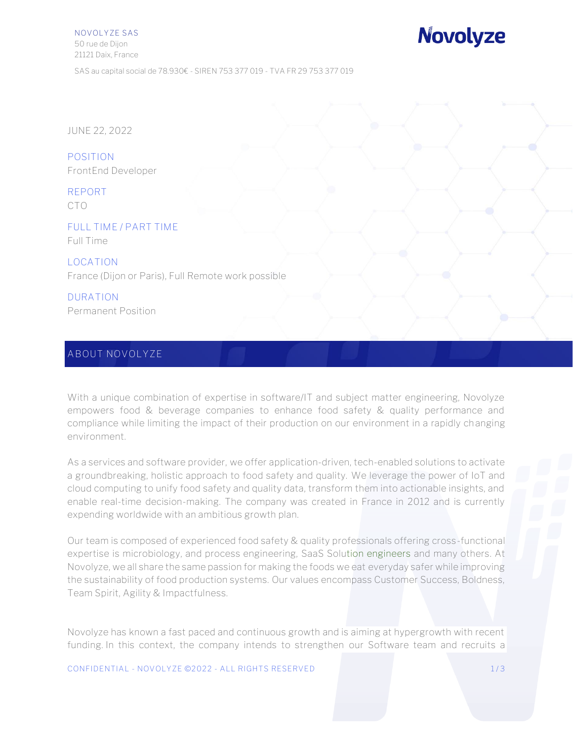NOVOLYZE SAS 50 rue de Dijon 21121 Daix, France

# **Novolyze**

SAS au capital social de 78.930€ - SIREN 753 377 019 - TVA FR 29 753 377 019

JUNE 22, 2022

**POSITION** FrontEnd Developer

**REPORT** CTO

**FULL TIME / PART TIME** Full Time

**LOCATION** France (Dijon or Paris), Full Remote work possible

**DURATION** Permanent Position

#### **ABOUT NOVOLYZE**

With a unique combination of expertise in software/IT and subject matter engineering, Novolyze empowers food & beverage companies to enhance food safety & quality performance and compliance while limiting the impact of their production on our environment in a rapidly changing environment.

As a services and software provider, we offer application-driven, tech-enabled solutions to activate a groundbreaking, holistic approach to food safety and quality. We leverage the power of IoT and cloud computing to unify food safety and quality data, transform them into actionable insights, and enable real-time decision-making. The company was created in France in 2012 and is currently expending worldwide with an ambitious growth plan.

Our team is composed of experienced food safety & quality professionals offering cross-functional expertise is microbiology, and process engineering, SaaS Solution engineers and many others. At Novolyze, we all share the same passion for making the foods we eat everyday safer while improving the sustainability of food production systems. Our values encompass Customer Success, Boldness, Team Spirit, Agility & Impactfulness.

Novolyze has known a fast paced and continuous growth and is aiming at hypergrowth with recent funding. In this context, the company intends to strengthen our Software team and recruits a

CONFIDENTIAL - NOVOLYZE ©2022 - ALL RIGHTS RESERVED 1/3 1/3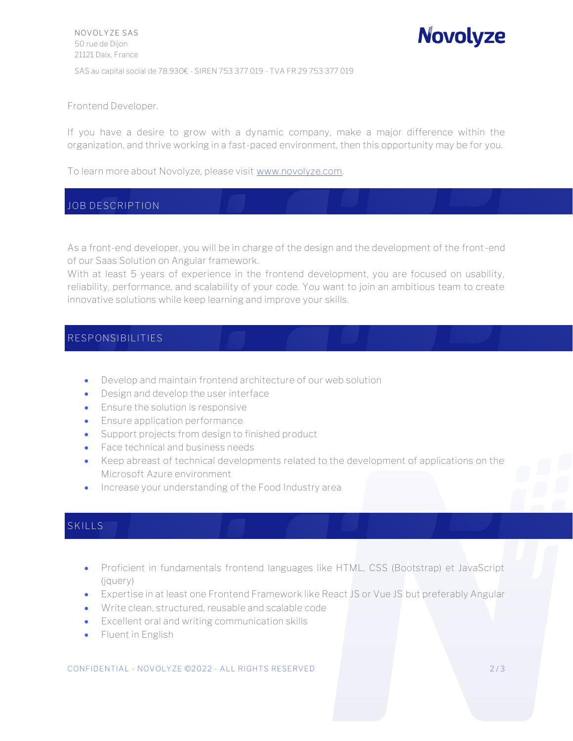Frontend Developer.

If you have a desire to grow with a dynamic company, make a major difference within the organization, and thrive working in a fast-paced environment, then this opportunity may be for you.

To learn more about Novolyze, please visit [www.novolyze.com.](http://www.novolyze.com/)

## **JOB DESCRIPTION**

As a front-end developer, you will be in charge of the design and the development of the front-end of our Saas Solution on Angular framework.

With at least 5 years of experience in the frontend development, you are focused on usability, reliability, performance, and scalability of your code. You want to join an ambitious team to create innovative solutions while keep learning and improve your skills.

### **RESPONSIBILITIES**

- Develop and maintain frontend architecture of our web solution
- Design and develop the user interface
- Ensure the solution is responsive
- Ensure application performance
- Support projects from design to finished product
- Face technical and business needs
- Keep abreast of technical developments related to the development of applications on the Microsoft Azure environment
- Increase your understanding of the Food Industry area

## **SKILLS**

- Proficient in fundamentals frontend languages like HTML, CSS (Bootstrap) et JavaScript (jquery)
- Expertise in at least one Frontend Framework like React JS or Vue JS but preferably Angular
- Write clean, structured, reusable and scalable code
- Excellent oral and writing communication skills
- Fluent in English

CONFIDENTIAL - NOVOLYZE ©2022 - ALL RIGHTS RESERVED 273